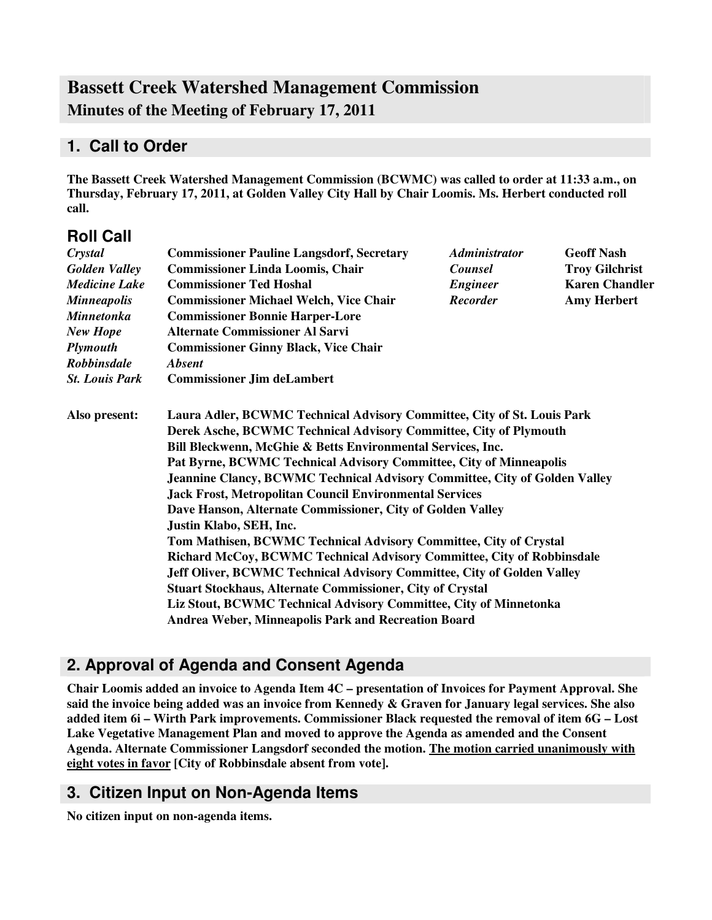# **Bassett Creek Watershed Management Commission Minutes of the Meeting of February 17, 2011**

### **1. Call to Order**

**The Bassett Creek Watershed Management Commission (BCWMC) was called to order at 11:33 a.m., on Thursday, February 17, 2011, at Golden Valley City Hall by Chair Loomis. Ms. Herbert conducted roll call.**

### **Roll Call**

| Crystal               | <b>Commissioner Pauline Langsdorf, Secretary</b>                                                                                                        | <i><b>Administrator</b></i>                                            | <b>Geoff Nash</b>     |  |  |
|-----------------------|---------------------------------------------------------------------------------------------------------------------------------------------------------|------------------------------------------------------------------------|-----------------------|--|--|
| <b>Golden Valley</b>  | <b>Commissioner Linda Loomis, Chair</b>                                                                                                                 | <b>Counsel</b>                                                         | <b>Troy Gilchrist</b> |  |  |
| <b>Medicine Lake</b>  | <b>Commissioner Ted Hoshal</b>                                                                                                                          | <b>Engineer</b>                                                        | <b>Karen Chandler</b> |  |  |
| <b>Minneapolis</b>    | <b>Commissioner Michael Welch, Vice Chair</b>                                                                                                           | <b>Recorder</b>                                                        | <b>Amy Herbert</b>    |  |  |
| <b>Minnetonka</b>     | <b>Commissioner Bonnie Harper-Lore</b>                                                                                                                  |                                                                        |                       |  |  |
| New Hope              | <b>Alternate Commissioner Al Sarvi</b>                                                                                                                  |                                                                        |                       |  |  |
| <b>Plymouth</b>       | <b>Commissioner Ginny Black, Vice Chair</b>                                                                                                             |                                                                        |                       |  |  |
| <b>Robbinsdale</b>    | <b>Absent</b>                                                                                                                                           |                                                                        |                       |  |  |
| <b>St. Louis Park</b> | <b>Commissioner Jim deLambert</b>                                                                                                                       |                                                                        |                       |  |  |
| Also present:         | Laura Adler, BCWMC Technical Advisory Committee, City of St. Louis Park                                                                                 |                                                                        |                       |  |  |
|                       | Derek Asche, BCWMC Technical Advisory Committee, City of Plymouth                                                                                       |                                                                        |                       |  |  |
|                       | Bill Bleckwenn, McGhie & Betts Environmental Services, Inc.                                                                                             |                                                                        |                       |  |  |
|                       | Pat Byrne, BCWMC Technical Advisory Committee, City of Minneapolis<br><b>Jeannine Clancy, BCWMC Technical Advisory Committee, City of Golden Valley</b> |                                                                        |                       |  |  |
|                       |                                                                                                                                                         |                                                                        |                       |  |  |
|                       | Dave Hanson, Alternate Commissioner, City of Golden Valley                                                                                              |                                                                        |                       |  |  |
|                       | Justin Klabo, SEH, Inc.                                                                                                                                 |                                                                        |                       |  |  |
|                       | Tom Mathisen, BCWMC Technical Advisory Committee, City of Crystal                                                                                       |                                                                        |                       |  |  |
|                       | Richard McCoy, BCWMC Technical Advisory Committee, City of Robbinsdale                                                                                  |                                                                        |                       |  |  |
|                       |                                                                                                                                                         | Jeff Oliver, BCWMC Technical Advisory Committee, City of Golden Valley |                       |  |  |
|                       | <b>Stuart Stockhaus, Alternate Commissioner, City of Crystal</b>                                                                                        |                                                                        |                       |  |  |
|                       | Liz Stout, BCWMC Technical Advisory Committee, City of Minnetonka                                                                                       |                                                                        |                       |  |  |
|                       | Andrea Weber, Minneapolis Park and Recreation Board                                                                                                     |                                                                        |                       |  |  |

# **2. Approval of Agenda and Consent Agenda**

**Chair Loomis added an invoice to Agenda Item 4C – presentation of Invoices for Payment Approval. She** said the invoice being added was an invoice from Kennedy & Graven for January legal services. She also **added item 6i – Wirth Park improvements. Commissioner Black requested the removal of item 6G – Lost Lake Vegetative Management Plan and moved to approve the Agenda as amended and the Consent Agenda. Alternate Commissioner Langsdorf seconded the motion. The motion carried unanimously with eight votes in favor [City of Robbinsdale absent from vote].**

## **3. Citizen Input on Non-Agenda Items**

**No citizen input on non-agenda items.**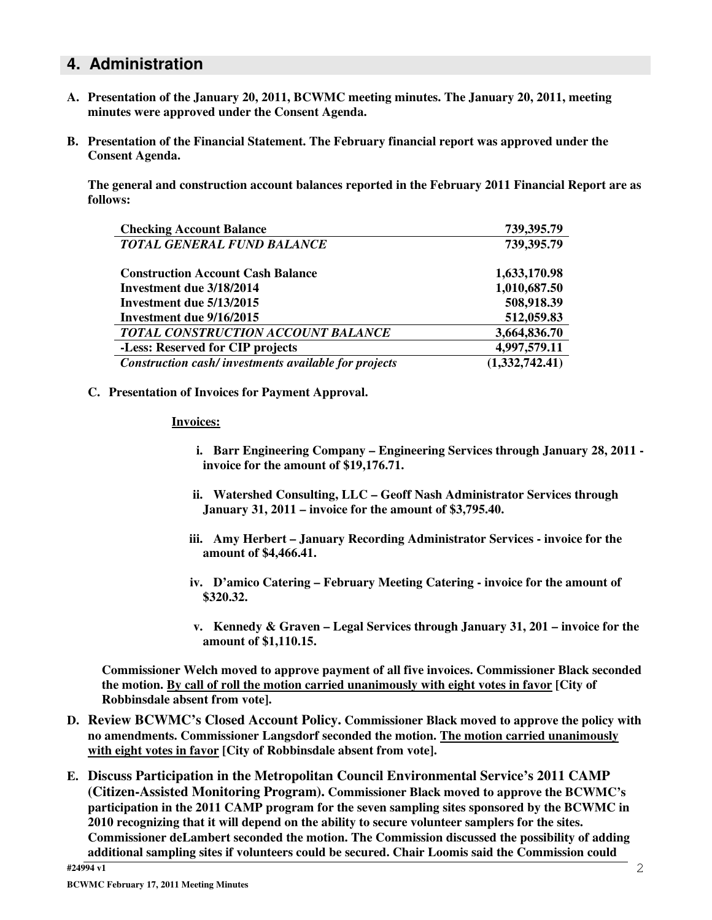### **4. Administration**

- **A. Presentation of the January 20, 2011, BCWMC meeting minutes. The January 20, 2011, meeting minutes were approved under the Consent Agenda.**
- **B. Presentation of the Financial Statement. The February financial report was approved under the Consent Agenda.**

**The general and construction account balances reported in the February 2011 Financial Report are as follows:**

| <b>Checking Account Balance</b>                      | 739,395.79     |
|------------------------------------------------------|----------------|
| <b>TOTAL GENERAL FUND BALANCE</b>                    | 739,395.79     |
| <b>Construction Account Cash Balance</b>             | 1,633,170.98   |
| Investment due 3/18/2014                             | 1,010,687.50   |
| Investment due 5/13/2015                             | 508,918.39     |
| Investment due 9/16/2015                             | 512,059.83     |
| TOTAL CONSTRUCTION ACCOUNT BALANCE                   | 3,664,836.70   |
| -Less: Reserved for CIP projects                     | 4,997,579.11   |
| Construction cash/investments available for projects | (1,332,742.41) |

**C. Presentation of Invoices for Payment Approval.**

#### **Invoices:**

- **i. Barr Engineering Company – Engineering Services through January 28, 2011 invoice for the amount of \$19,176.71.**
- **ii. Watershed Consulting, LLC – Geoff Nash Administrator Services through January 31, 2011 – invoice for the amount of \$3,795.40.**
- **iii. Amy Herbert – January Recording Administrator Services - invoice for the amount of \$4,466.41.**
- **iv. D'amico Catering – February Meeting Catering - invoice for the amount of \$320.32.**
- **v. Kennedy & Graven – Legal Services through January 31, 201 – invoice for the amount of \$1,110.15.**

**Commissioner Welch moved to approve payment of all five invoices. Commissioner Black seconded the motion. By call of roll the motion carried unanimously with eight votes in favor [City of Robbinsdale absent from vote].**

- **D. Review BCWMC's Closed Account Policy. Commissioner Black moved to approve the policy with no amendments. Commissioner Langsdorf seconded the motion. The motion carried unanimously with eight votes in favor [City of Robbinsdale absent from vote].**
- **E. Discuss Participation in the Metropolitan Council Environmental Service's 2011 CAMP (Citizen-Assisted Monitoring Program). Commissioner Black moved to approve the BCWMC's participation in the 2011 CAMP program for the seven sampling sites sponsored by the BCWMC in 2010 recognizing that it will depend on the ability to secure volunteer samplers for the sites. Commissioner deLambert seconded the motion. The Commission discussed the possibility of adding additional sampling sites if volunteers could be secured. Chair Loomis said the Commission could**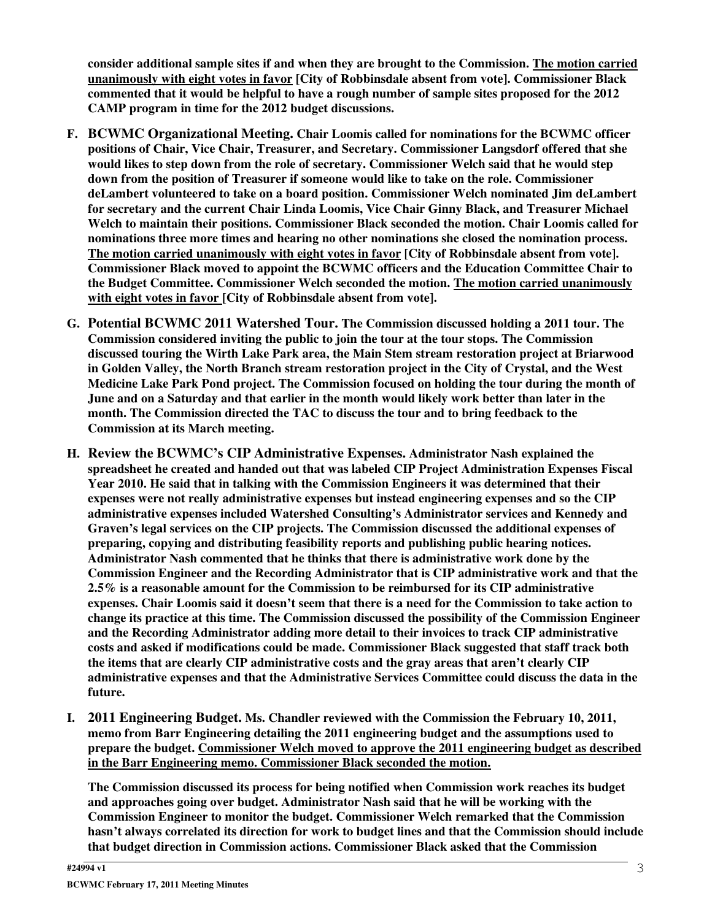**consider additional sample sites if and when they are brought to the Commission. The motion carried unanimously with eight votes in favor [City of Robbinsdale absent from vote]. Commissioner Black commented that it would be helpful to have a rough number of sample sites proposed for the 2012 CAMP program in time for the 2012 budget discussions.**

- **F. BCWMC Organizational Meeting. Chair Loomis called for nominations for the BCWMC officer positions of Chair, Vice Chair, Treasurer, and Secretary. Commissioner Langsdorf offered that she would likes to step down from the role of secretary. Commissioner Welch said that he would step down from the position of Treasurer if someone would like to take on the role. Commissioner deLambert volunteered to take on a board position. Commissioner Welch nominated Jim deLambert for secretary and the current Chair Linda Loomis, Vice Chair Ginny Black, and Treasurer Michael Welch to maintain their positions. Commissioner Black seconded the motion. Chair Loomis called for nominations three more times and hearing no other nominations she closed the nomination process. The motion carried unanimously with eight votes in favor [City of Robbinsdale absent from vote]. Commissioner Black moved to appoint the BCWMC officers and the Education Committee Chair to the Budget Committee. Commissioner Welch seconded the motion. The motion carried unanimously with eight votes in favor [City of Robbinsdale absent from vote].**
- **G. Potential BCWMC 2011 Watershed Tour. The Commission discussed holding a 2011 tour. The Commission considered inviting the public to join the tour at the tour stops. The Commission discussed touring the Wirth Lake Park area, the Main Stem stream restoration project at Briarwood in Golden Valley, the North Branch stream restoration project in the City of Crystal, and the West Medicine Lake Park Pond project. The Commission focused on holding the tour during the month of** June and on a Saturday and that earlier in the month would likely work better than later in the **month. The Commission directed the TAC to discuss the tour and to bring feedback to the Commission at its March meeting.**
- **H. Review the BCWMC's CIP Administrative Expenses. Administrator Nash explained the spreadsheet he created and handed out that was labeled CIP Project Administration Expenses Fiscal Year 2010. He said that in talking with the Commission Engineers it was determined that their expenses were not really administrative expenses but instead engineering expenses and so the CIP administrative expenses included Watershed Consulting's Administrator services and Kennedy and Graven's legal services on the CIP projects. The Commission discussed the additional expenses of preparing, copying and distributing feasibility reports and publishing public hearing notices. Administrator Nash commented that he thinks that there is administrative work done by the Commission Engineer and the Recording Administrator that is CIP administrative work and that the 2.5% is a reasonable amount for the Commission to be reimbursed for its CIP administrative** expenses. Chair Loomis said it doesn't seem that there is a need for the Commission to take action to **change its practice at this time. The Commission discussed the possibility of the Commission Engineer and the Recording Administrator adding more detail to their invoices to track CIP administrative costs and asked if modifications could be made. Commissioner Black suggested that staff track both the items that are clearly CIP administrative costs and the gray areas that aren't clearly CIP administrative expenses and that the Administrative Services Committee could discuss the data in the future.**
- **I. 2011 Engineering Budget. Ms. Chandler reviewed with the Commission the February 10, 2011, memo from Barr Engineering detailing the 2011 engineering budget and the assumptions used to prepare the budget. Commissioner Welch moved to approve the 2011 engineering budget as described in the Barr Engineering memo. Commissioner Black seconded the motion.**

**The Commission discussed its process for being notified when Commission work reaches its budget and approaches going over budget. Administrator Nash said that he will be working with the Commission Engineer to monitor the budget. Commissioner Welch remarked that the Commission hasn't always correlated its direction for work to budget lines and that the Commission should include that budget direction in Commission actions. Commissioner Black asked that the Commission**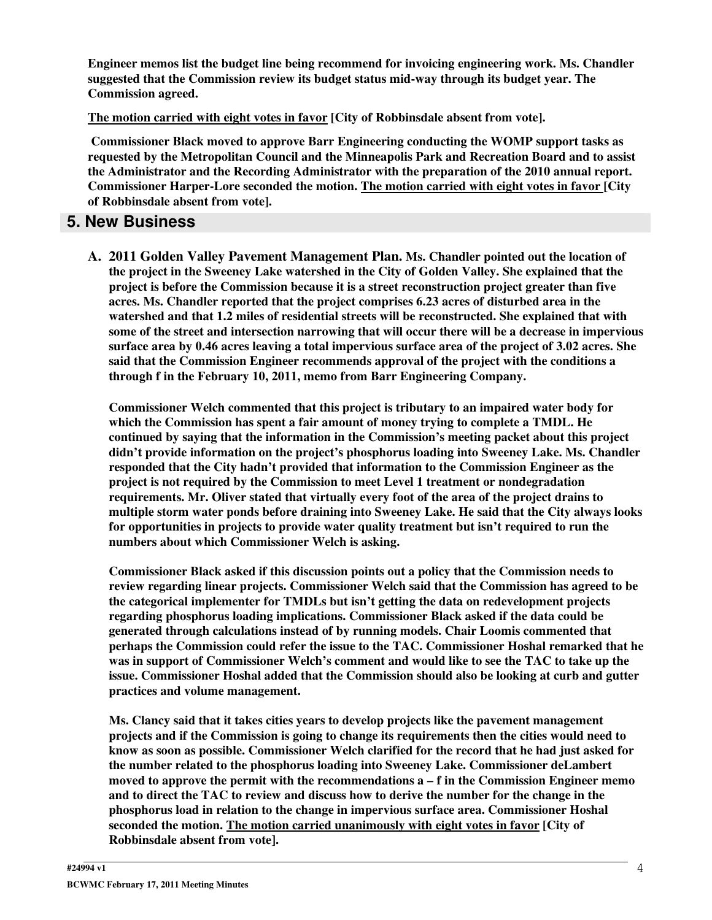**Engineer memos list the budget line being recommend for invoicing engineering work. Ms. Chandler suggested that the Commission review its budget status mid-way through its budget year. The Commission agreed.**

**The motion carried with eight votes in favor [City of Robbinsdale absent from vote].**

**Commissioner Black moved to approve Barr Engineering conducting the WOMP support tasks as requested by the Metropolitan Council and the Minneapolis Park and Recreation Board and to assist the Administrator and the Recording Administrator with the preparation of the 2010 annual report. Commissioner Harper-Lore seconded the motion. The motion carried with eight votes in favor [City of Robbinsdale absent from vote].**

### **5. New Business**

**A. 2011 Golden Valley Pavement Management Plan. Ms. Chandler pointed out the location of the project in the Sweeney Lake watershed in the City of Golden Valley. She explained that the project is before the Commission because it is a street reconstruction project greater than five acres. Ms. Chandler reported that the project comprises 6.23 acres of disturbed area in the watershed and that 1.2 miles of residential streets will be reconstructed. She explained that with some of the street and intersection narrowing that will occur there will be a decrease in impervious** surface area by 0.46 acres leaving a total impervious surface area of the project of 3.02 acres. She **said that the Commission Engineer recommends approval of the project with the conditions a through f in the February 10, 2011, memo from Barr Engineering Company.**

**Commissioner Welch commented that this project is tributary to an impaired water body for which the Commission has spent a fair amount of money trying to complete a TMDL. He continued by saying that the information in the Commission's meeting packet about this project didn't provide information on the project's phosphorus loading into Sweeney Lake. Ms. Chandler responded that the City hadn't provided that information to the Commission Engineer as the project is not required by the Commission to meet Level 1 treatment or nondegradation requirements. Mr. Oliver stated that virtually every foot of the area of the project drains to multiple storm water ponds before draining into Sweeney Lake. He said that the City always looks for opportunities in projects to provide water quality treatment but isn't required to run the numbers about which Commissioner Welch is asking.**

**Commissioner Black asked if this discussion points out a policy that the Commission needs to review regarding linear projects. Commissioner Welch said that the Commission has agreed to be the categorical implementer for TMDLs but isn't getting the data on redevelopment projects regarding phosphorus loading implications. Commissioner Black asked if the data could be generated through calculations instead of by running models. Chair Loomis commented that perhaps the Commission could refer the issue to the TAC. Commissioner Hoshal remarked that he was in support of Commissioner Welch's comment and would like to see the TAC to take up the issue. Commissioner Hoshal added that the Commission should also be looking at curb and gutter practices and volume management.**

**Ms. Clancy said that it takes cities years to develop projects like the pavement management projects and if the Commission is going to change its requirements then the cities would need to know as soon as possible. Commissioner Welch clarified for the record that he had just asked for the number related to the phosphorus loading into Sweeney Lake. Commissioner deLambert moved to approve the permit with the recommendations a – f in the Commission Engineer memo and to direct the TAC to review and discuss how to derive the number for the change in the phosphorus load in relation to the change in impervious surface area. Commissioner Hoshal seconded the motion. The motion carried unanimously with eight votes in favor [City of Robbinsdale absent from vote].**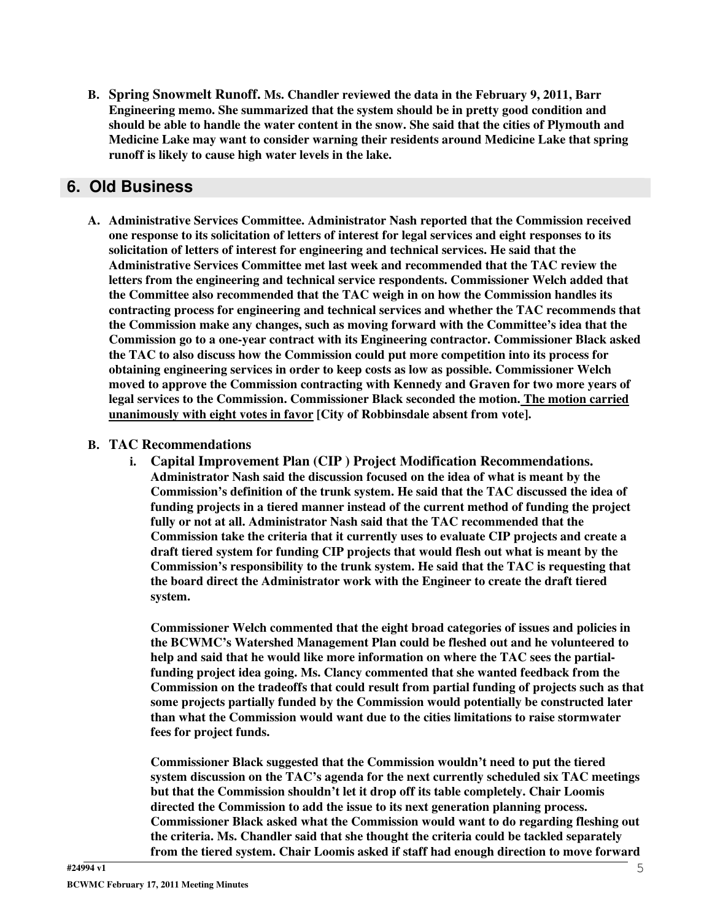**B. Spring Snowmelt Runoff. Ms. Chandler reviewed the data in the February 9, 2011, Barr Engineering memo. She summarized that the system should be in pretty good condition and** should be able to handle the water content in the snow. She said that the cities of Plymouth and **Medicine Lake may want to consider warning their residents around Medicine Lake that spring runoff is likely to cause high water levels in the lake.**

# **6. Old Business**

**A. Administrative Services Committee. Administrator Nash reported that the Commission received one response to its solicitation of letters of interest for legal services and eight responses to its solicitation of letters of interest for engineering and technical services. He said that the Administrative Services Committee met last week and recommended that the TAC review the letters from the engineering and technical service respondents. Commissioner Welch added that the Committee also recommended that the TAC weigh in on how the Commission handles its contracting process for engineering and technical services and whether the TAC recommends that the Commission make any changes, such as moving forward with the Committee's idea that the Commission go to a one-year contract with its Engineering contractor. Commissioner Black asked the TAC to also discuss how the Commission could put more competition into its process for obtaining engineering services in order to keep costs as low as possible. Commissioner Welch moved to approve the Commission contracting with Kennedy and Graven for two more years of legal services to the Commission. Commissioner Black seconded the motion. The motion carried unanimously with eight votes in favor [City of Robbinsdale absent from vote].**

#### **B. TAC Recommendations**

**i. Capital Improvement Plan (CIP ) Project Modification Recommendations. Administrator Nash said the discussion focused on the idea of what is meant by the Commission's definition of the trunk system. He said that the TAC discussed the idea of funding projects in a tiered manner instead of the current method of funding the project fully or not at all. Administrator Nash said that the TAC recommended that the Commission take the criteria that it currently uses to evaluate CIP projects and create a draft tiered system for funding CIP projects that would flesh out what is meant by the Commission's responsibility to the trunk system. He said that the TAC is requesting that the board direct the Administrator work with the Engineer to create the draft tiered system.**

**Commissioner Welch commented that the eight broad categories of issues and policies in the BCWMC's Watershed Management Plan could be fleshed out and he volunteered to help and said that he would like more information on where the TAC sees the partialfunding project idea going. Ms. Clancy commented that she wanted feedback from the Commission on the tradeoffs that could result from partial funding of projects such as that some projects partially funded by the Commission would potentially be constructed later than what the Commission would want due to the cities limitations to raise stormwater fees for project funds.**

**Commissioner Black suggested that the Commission wouldn't need to put the tiered system discussion on the TAC's agenda for the next currently scheduled six TAC meetings but that the Commission shouldn't let it drop off its table completely. Chair Loomis directed the Commission to add the issue to its next generation planning process. Commissioner Black asked what the Commission would want to do regarding fleshing out the criteria. Ms. Chandler said that she thought the criteria could be tackled separately from the tiered system. Chair Loomis asked if staff had enough direction to move forward**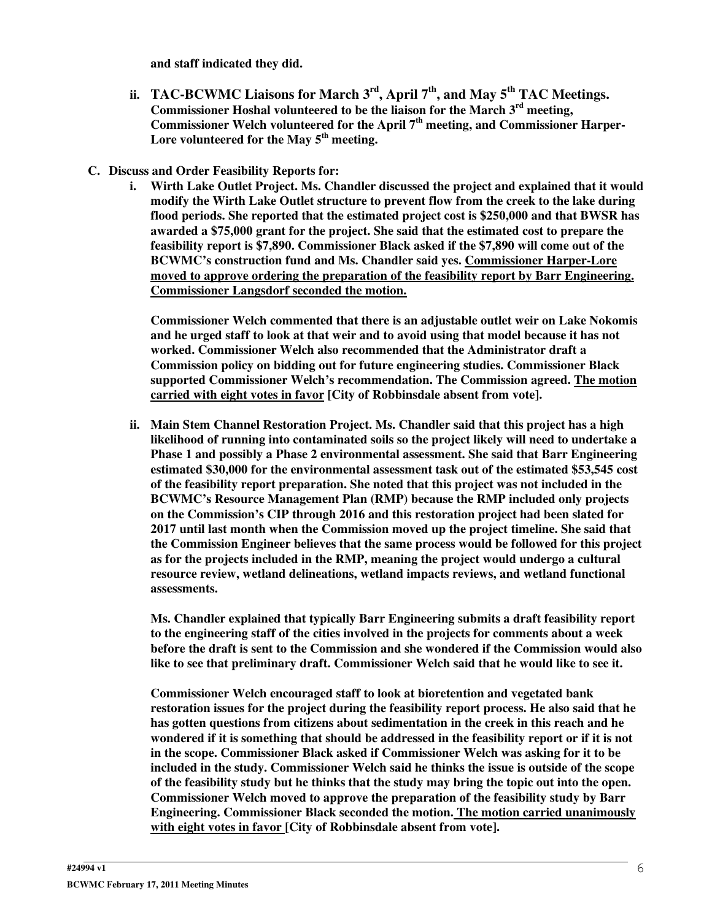**and staff indicated they did.**

- **ii. TAC-BCWMC Liaisons for March 3 rd , April 7 th , and May 5 th TAC Meetings. Commissioner Hoshal volunteered to be the liaison for the March 3 rd meeting, Commissioner Welch volunteered for the April 7 th meeting, and Commissioner Harper-Lore volunteered for the May 5 th meeting.**
- **C. Discuss and Order Feasibility Reports for:**
	- **i. Wirth Lake Outlet Project. Ms. Chandler discussed the project and explained that it would modify the Wirth Lake Outlet structure to prevent flow from the creek to the lake during flood periods. She reported that the estimated project cost is \$250,000 and that BWSR has awarded a \$75,000 grant for the project. She said that the estimated cost to prepare the feasibility report is \$7,890. Commissioner Black asked if the \$7,890 will come out of the BCWMC's construction fund and Ms. Chandler said yes. Commissioner Harper-Lore moved to approve ordering the preparation of the feasibility report by Barr Engineering. Commissioner Langsdorf seconded the motion.**

**Commissioner Welch commented that there is an adjustable outlet weir on Lake Nokomis and he urged staff to look at that weir and to avoid using that model because it has not worked. Commissioner Welch also recommended that the Administrator draft a Commission policy on bidding out for future engineering studies. Commissioner Black supported Commissioner Welch's recommendation. The Commission agreed. The motion carried with eight votes in favor [City of Robbinsdale absent from vote].**

**ii. Main Stem Channel Restoration Project. Ms. Chandler said that this project has a high likelihood of running into contaminated soils so the project likely will need to undertake a Phase 1 and possibly a Phase 2 environmental assessment. She said that Barr Engineering estimated \$30,000 for the environmental assessment task out of the estimated \$53,545 cost of the feasibility report preparation. She noted that this project was not included in the BCWMC's Resource Management Plan (RMP) because the RMP included only projects on the Commission's CIP through 2016 and this restoration project had been slated for 2017 until last month when the Commission moved up the project timeline. She said that the Commission Engineer believes that the same process would be followed for this project as for the projects included in the RMP, meaning the project would undergo a cultural resource review, wetland delineations, wetland impacts reviews, and wetland functional assessments.**

**Ms. Chandler explained that typically Barr Engineering submits a draft feasibility report to the engineering staff of the cities involved in the projects for comments about a week before the draft is sent to the Commission and she wondered if the Commission would also like to see that preliminary draft. Commissioner Welch said that he would like to see it.**

**Commissioner Welch encouraged staff to look at bioretention and vegetated bank restoration issues for the project during the feasibility report process. He also said that he has gotten questions from citizens about sedimentation in the creek in this reach and he wondered if it is something that should be addressed in the feasibility report or if it is not in the scope. Commissioner Black asked if Commissioner Welch was asking for it to be included in the study. Commissioner Welch said he thinks the issue is outside of the scope of the feasibility study but he thinks that the study may bring the topic out into the open. Commissioner Welch moved to approve the preparation of the feasibility study by Barr Engineering. Commissioner Black seconded the motion. The motion carried unanimously with eight votes in favor [City of Robbinsdale absent from vote].**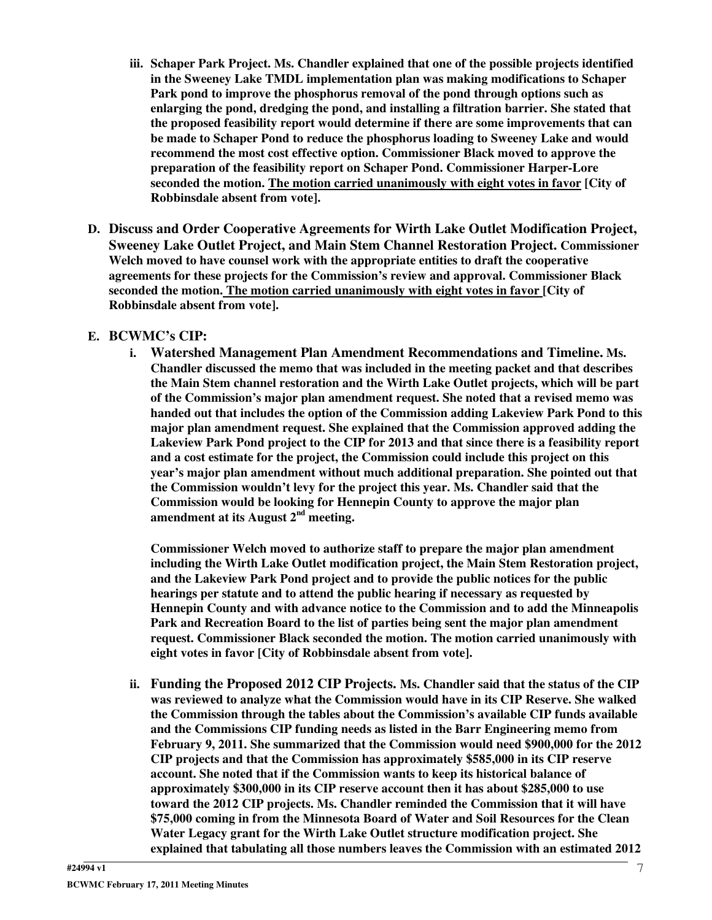- **iii. Schaper Park Project. Ms. Chandler explained that one of the possible projects identified in the Sweeney Lake TMDL implementation plan was making modifications to Schaper Park pond to improve the phosphorus removal of the pond through options such as enlarging the pond, dredging the pond, and installing a filtration barrier. She stated that the proposed feasibility report would determine if there are some improvements that can be made to Schaper Pond to reduce the phosphorus loading to Sweeney Lake and would recommend the most cost effective option. Commissioner Black moved to approve the preparation of the feasibility report on Schaper Pond. Commissioner Harper-Lore seconded the motion. The motion carried unanimously with eight votes in favor [City of Robbinsdale absent from vote].**
- **D. Discuss and Order Cooperative Agreements for Wirth Lake Outlet Modification Project, Sweeney Lake Outlet Project, and Main Stem Channel Restoration Project. Commissioner Welch moved to have counsel work with the appropriate entities to draft the cooperative agreements for these projects for the Commission's review and approval. Commissioner Black seconded the motion. The motion carried unanimously with eight votes in favor [City of Robbinsdale absent from vote].**

#### **E. BCWMC's CIP:**

**i. Watershed Management Plan Amendment Recommendations and Timeline. Ms. Chandler discussed the memo that was included in the meeting packet and that describes the Main Stem channel restoration and the Wirth Lake Outlet projects, which will be part of the Commission's major plan amendment request. She noted that a revised memo was handed out that includes the option of the Commission adding Lakeview Park Pond to this major plan amendment request. She explained that the Commission approved adding the Lakeview Park Pond project to the CIP for 2013 and that since there is a feasibility report and a cost estimate for the project, the Commission could include this project on this year's major plan amendment without much additional preparation. She pointed out that the Commission wouldn't levy for the project this year. Ms. Chandler said that the Commission would be looking for Hennepin County to approve the major plan amendment at its August 2 nd meeting.**

**Commissioner Welch moved to authorize staff to prepare the major plan amendment including the Wirth Lake Outlet modification project, the Main Stem Restoration project, and the Lakeview Park Pond project and to provide the public notices for the public hearings per statute and to attend the public hearing if necessary as requested by Hennepin County and with advance notice to the Commission and to add the Minneapolis Park and Recreation Board to the list of parties being sent the major plan amendment request. Commissioner Black seconded the motion. The motion carried unanimously with eight votes in favor [City of Robbinsdale absent from vote].**

**ii. Funding the Proposed 2012 CIP Projects. Ms. Chandler said that the status of the CIP was reviewed to analyze what the Commission would have in its CIP Reserve. She walked the Commission through the tables about the Commission's available CIP funds available and the Commissions CIP funding needs as listed in the Barr Engineering memo from February 9, 2011. She summarized that the Commission would need \$900,000 for the 2012 CIP projects and that the Commission has approximately \$585,000 in its CIP reserve account. She noted that if the Commission wants to keep its historical balance of approximately \$300,000 in its CIP reserve account then it has about \$285,000 to use toward the 2012 CIP projects. Ms. Chandler reminded the Commission that it will have \$75,000 coming in from the Minnesota Board of Water and Soil Resources for the Clean Water Legacy grant for the Wirth Lake Outlet structure modification project. She explained that tabulating all those numbers leaves the Commission with an estimated 2012**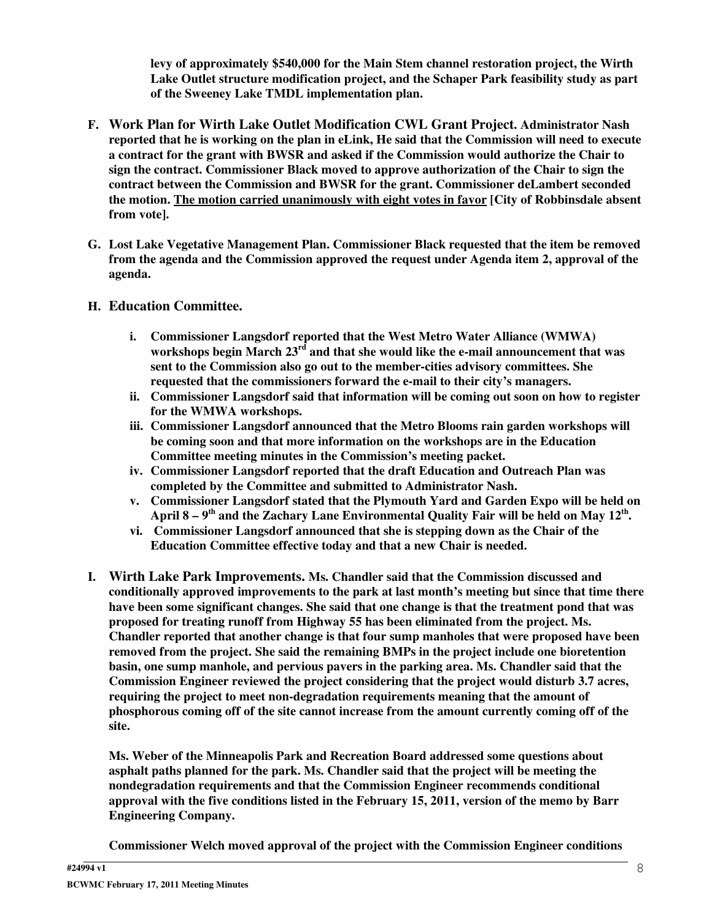**levy of approximately \$540,000 for the Main Stem channel restoration project, the Wirth Lake Outlet structure modification project, and the Schaper Park feasibility study as part of the Sweeney Lake TMDL implementation plan.**

- **F. Work Plan for Wirth Lake Outlet Modification CWL Grant Project. Administrator Nash** reported that he is working on the plan in eLink, He said that the Commission will need to execute **a contract for the grant with BWSR and asked if the Commission would authorize the Chair to sign the contract. Commissioner Black moved to approve authorization of the Chair to sign the contract between the Commission and BWSR for the grant. Commissioner deLambert seconded the motion. The motion carried unanimously with eight votes in favor [City of Robbinsdale absent from vote].**
- **G. Lost Lake Vegetative Management Plan. Commissioner Black requested that the item be removed from the agenda and the Commission approved the request under Agenda item 2, approval of the agenda.**
- **H. Education Committee.**
	- **i. Commissioner Langsdorf reported that the West Metro Water Alliance (WMWA) workshops begin March 23 rd and that she would like the e-mail announcement that was sent to the Commission also go out to the member-cities advisory committees. She requested that the commissioners forward the e-mail to their city's managers.**
	- **ii. Commissioner Langsdorf said that information will be coming out soon on how to register for the WMWA workshops.**
	- **iii. Commissioner Langsdorf announced that the Metro Blooms rain garden workshops will be coming soon and that more information on the workshops are in the Education Committee meeting minutes in the Commission's meeting packet.**
	- **iv. Commissioner Langsdorf reported that the draft Education and Outreach Plan was completed by the Committee and submitted to Administrator Nash.**
	- **v. Commissioner Langsdorf stated that the Plymouth Yard and Garden Expo will be held on** April 8 –  $9^{\rm th}$  and the Zachary Lane Environmental Quality Fair will be held on May 12 $^{\rm th}$ .
	- **vi. Commissioner Langsdorf announced that she is stepping down as the Chair of the Education Committee effective today and that a new Chair is needed.**
- **I. Wirth Lake Park Improvements. Ms. Chandler said that the Commission discussed and conditionally approved improvements to the park at last month's meeting but since that time there have been some significant changes. She said that one change is that the treatment pond that was proposed for treating runoff from Highway 55 has been eliminated from the project. Ms. Chandler reported that another change is that four sump manholes that were proposed have been removed from the project. She said the remaining BMPs in the project include one bioretention basin, one sump manhole, and pervious pavers in the parking area. Ms. Chandler said that the Commission Engineer reviewed the project considering that the project would disturb 3.7 acres, requiring the project to meet non-degradation requirements meaning that the amount of phosphorous coming off of the site cannot increase from the amount currently coming off of the site.**

**Ms. Weber of the Minneapolis Park and Recreation Board addressed some questions about asphalt paths planned for the park. Ms. Chandler said that the project will be meeting the nondegradation requirements and that the Commission Engineer recommends conditional approval with the five conditions listed in the February 15, 2011, version of the memo by Barr Engineering Company.**

**Commissioner Welch moved approval of the project with the Commission Engineer conditions**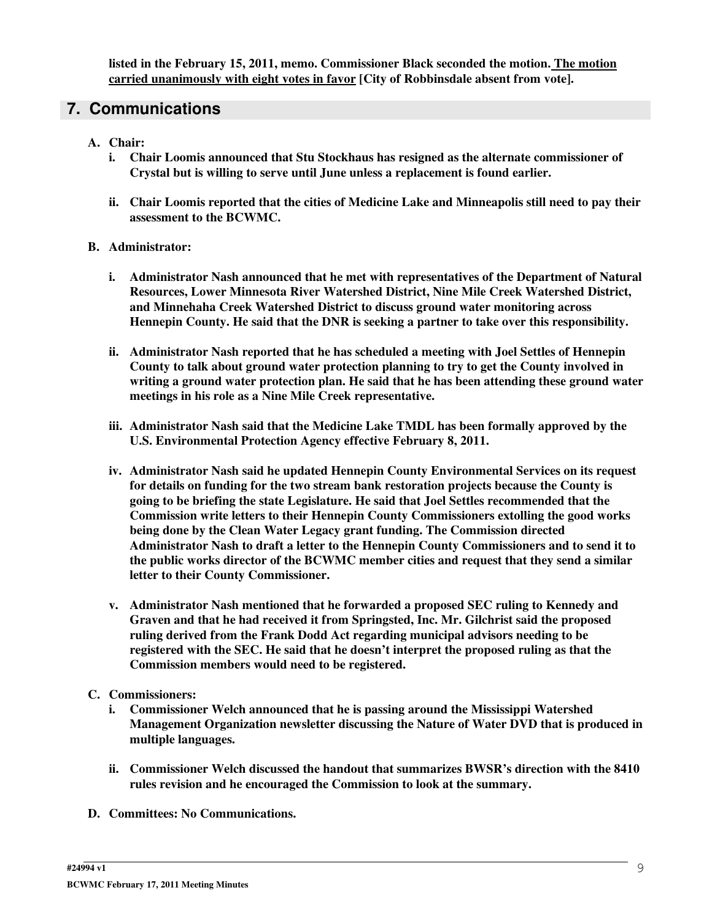**listed in the February 15, 2011, memo. Commissioner Black seconded the motion. The motion carried unanimously with eight votes in favor [City of Robbinsdale absent from vote].**

# **7. Communications**

- **A. Chair:**
	- **i. Chair Loomis announced that Stu Stockhaus has resigned as the alternate commissioner of Crystal but is willing to serve until June unless a replacement is found earlier.**
	- **ii. Chair Loomis reported that the cities of Medicine Lake and Minneapolis still need to pay their assessment to the BCWMC.**
- **B. Administrator:**
	- **i. Administrator Nash announced that he met with representatives of the Department of Natural Resources, Lower Minnesota River Watershed District, Nine Mile Creek Watershed District, and Minnehaha Creek Watershed District to discuss ground water monitoring across Hennepin County. He said that the DNR is seeking a partner to take over this responsibility.**
	- **ii. Administrator Nash reported that he has scheduled a meeting with Joel Settles of Hennepin County to talk about ground water protection planning to try to get the County involved in writing a ground water protection plan. He said that he has been attending these ground water meetings in his role as a Nine Mile Creek representative.**
	- **iii. Administrator Nash said that the Medicine Lake TMDL has been formally approved by the U.S. Environmental Protection Agency effective February 8, 2011.**
	- **iv. Administrator Nash said he updated Hennepin County Environmental Services on its request for details on funding for the two stream bank restoration projects because the County is going to be briefing the state Legislature. He said that Joel Settles recommended that the Commission write letters to their Hennepin County Commissioners extolling the good works being done by the Clean Water Legacy grant funding. The Commission directed Administrator Nash to draft a letter to the Hennepin County Commissioners and to send it to the public works director of the BCWMC member cities and request that they send a similar letter to their County Commissioner.**
	- **v. Administrator Nash mentioned that he forwarded a proposed SEC ruling to Kennedy and Graven and that he had received it from Springsted, Inc. Mr. Gilchrist said the proposed ruling derived from the Frank Dodd Act regarding municipal advisors needing to be registered with the SEC. He said that he doesn't interpret the proposed ruling as that the Commission members would need to be registered.**

#### **C. Commissioners:**

- **i. Commissioner Welch announced that he is passing around the Mississippi Watershed Management Organization newsletter discussing the Nature of Water DVD that is produced in multiple languages.**
- **ii. Commissioner Welch discussed the handout that summarizes BWSR's direction with the 8410 rules revision and he encouraged the Commission to look at the summary.**
- **D. Committees: No Communications.**